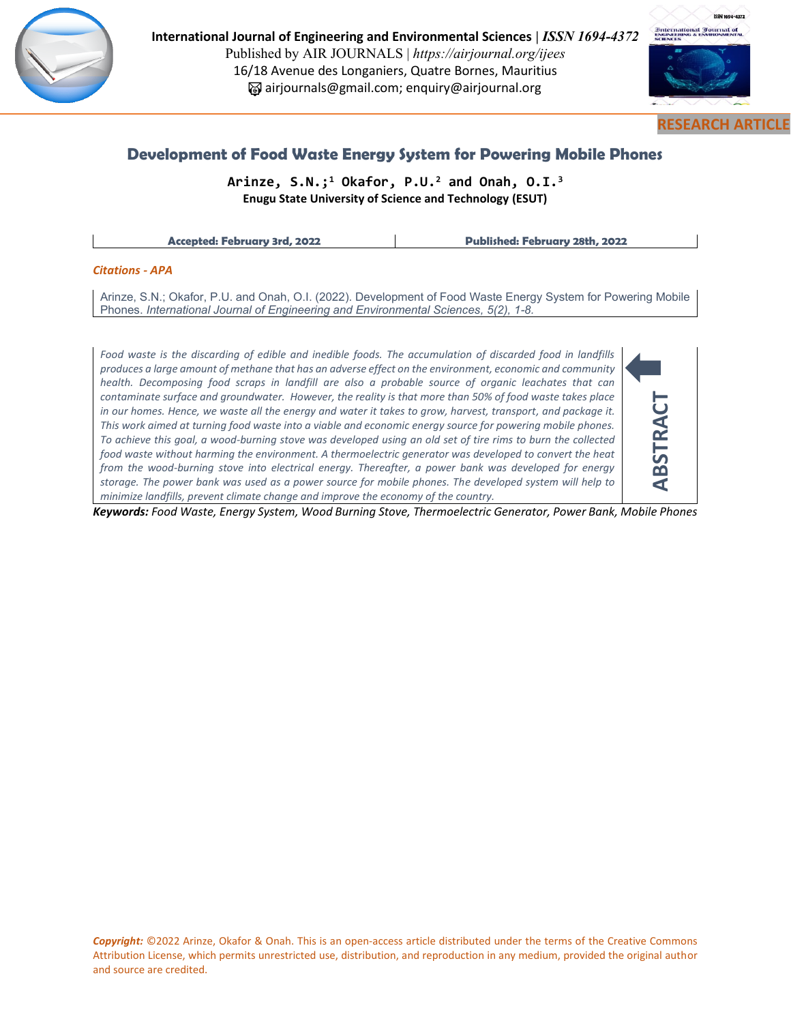

**International Journal of Engineering and Environmental Sciences |** *ISSN 1694-4372*  Published by AIR JOURNALS | *https://airjournal.org/ijees* 16/18 Avenue des Longaniers, Quatre Bornes, Mauritius airjournals@gmail.com; enquiry@airjournal.org



# **Development of Food Waste Energy System for Powering Mobile Phones**

**Arinze, S.N.; <sup>1</sup> Okafor, P.U. <sup>2</sup> and Onah, O.I. 3 Enugu State University of Science and Technology (ESUT)**

**Accepted: February 3rd, 2022 Published: February 28th, 2022**

#### *Citations - APA*

Arinze, S.N.; Okafor, P.U. and Onah, O.I. (2022). Development of Food Waste Energy System for Powering Mobile Phones. *International Journal of Engineering and Environmental Sciences, 5(2), 1-8.*

*Food waste is the discarding of edible and inedible foods. The accumulation of discarded food in landfills produces a large amount of methane that has an adverse effect on the environment, economic and community health. Decomposing food scraps in landfill are also a probable source of organic leachates that can contaminate surface and groundwater. However, the reality is that more than 50% of food waste takes place in our homes. Hence, we waste all the energy and water it takes to grow, harvest, transport, and package it. This work aimed at turning food waste into a viable and economic energy source for powering mobile phones. To achieve this goal, a wood-burning stove was developed using an old set of tire rims to burn the collected food waste without harming the environment. A thermoelectric generator was developed to convert the heat from the wood-burning stove into electrical energy. Thereafter, a power bank was developed for energy storage. The power bank was used as a power source for mobile phones. The developed system will help to minimize landfills, prevent climate change and improve the economy of the country.*



*Keywords: Food Waste, Energy System, Wood Burning Stove, Thermoelectric Generator, Power Bank, Mobile Phones*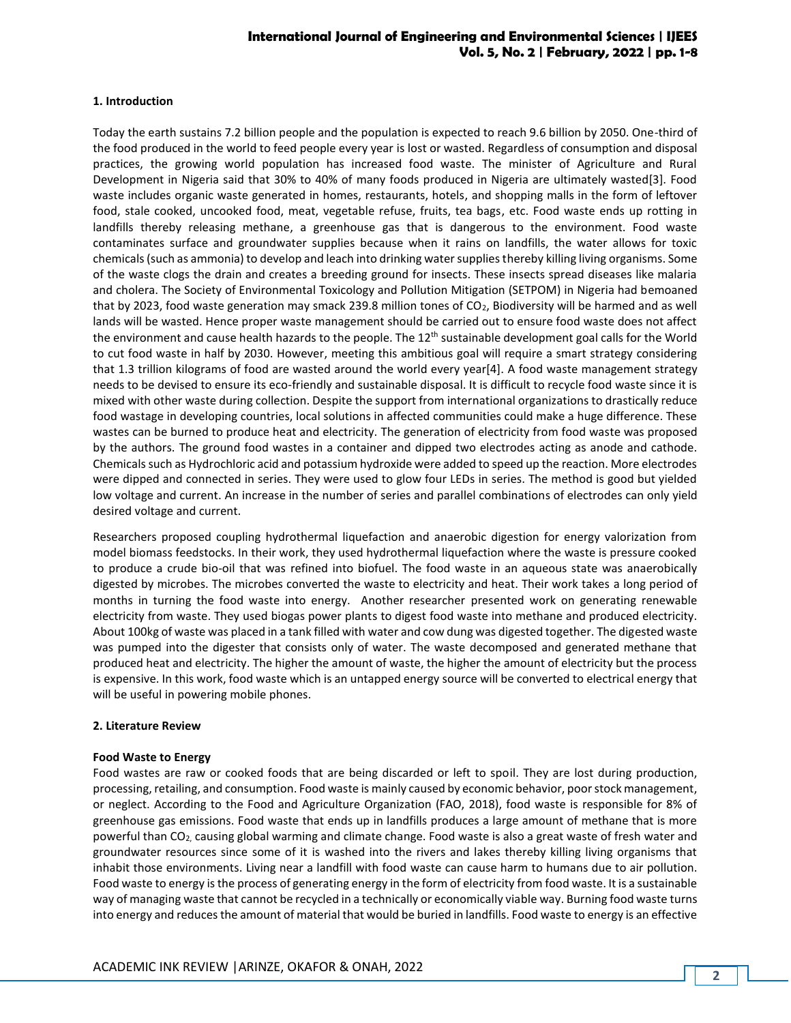#### **1. Introduction**

Today the earth sustains 7.2 billion people and the population is expected to reach 9.6 billion by 2050. One-third of the food produced in the world to feed people every year is lost or wasted. Regardless of consumption and disposal practices, the growing world population has increased food waste. The minister of Agriculture and Rural Development in Nigeria said that 30% to 40% of many foods produced in Nigeria are ultimately wasted[3]. Food waste includes organic waste generated in homes, restaurants, hotels, and shopping malls in the form of leftover food, stale cooked, uncooked food, meat, vegetable refuse, fruits, tea bags, etc. Food waste ends up rotting in landfills thereby releasing methane, a greenhouse gas that is dangerous to the environment. Food waste contaminates surface and groundwater supplies because when it rains on landfills, the water allows for toxic chemicals (such as ammonia) to develop and leach into drinking water supplies thereby killing living organisms. Some of the waste clogs the drain and creates a breeding ground for insects. These insects spread diseases like malaria and cholera. The Society of Environmental Toxicology and Pollution Mitigation (SETPOM) in Nigeria had bemoaned that by 2023, food waste generation may smack 239.8 million tones of CO2, Biodiversity will be harmed and as well lands will be wasted. Hence proper waste management should be carried out to ensure food waste does not affect the environment and cause health hazards to the people. The 12<sup>th</sup> sustainable development goal calls for the World to cut food waste in half by 2030. However, meeting this ambitious goal will require a smart strategy considering that 1.3 trillion kilograms of food are wasted around the world every year[4]. A food waste management strategy needs to be devised to ensure its eco-friendly and sustainable disposal. It is difficult to recycle food waste since it is mixed with other waste during collection. Despite the support from international organizations to drastically reduce food wastage in developing countries, local solutions in affected communities could make a huge difference. These wastes can be burned to produce heat and electricity. The generation of electricity from food waste was proposed by the authors. The ground food wastes in a container and dipped two electrodes acting as anode and cathode. Chemicals such as Hydrochloric acid and potassium hydroxide were added to speed up the reaction. More electrodes were dipped and connected in series. They were used to glow four LEDs in series. The method is good but yielded low voltage and current. An increase in the number of series and parallel combinations of electrodes can only yield desired voltage and current.

Researchers proposed coupling hydrothermal liquefaction and anaerobic digestion for energy valorization from model biomass feedstocks. In their work, they used hydrothermal liquefaction where the waste is pressure cooked to produce a crude bio-oil that was refined into biofuel. The food waste in an aqueous state was anaerobically digested by microbes. The microbes converted the waste to electricity and heat. Their work takes a long period of months in turning the food waste into energy. Another researcher presented work on generating renewable electricity from waste. They used biogas power plants to digest food waste into methane and produced electricity. About 100kg of waste was placed in a tank filled with water and cow dung was digested together. The digested waste was pumped into the digester that consists only of water. The waste decomposed and generated methane that produced heat and electricity. The higher the amount of waste, the higher the amount of electricity but the process is expensive. In this work, food waste which is an untapped energy source will be converted to electrical energy that will be useful in powering mobile phones.

#### **2. Literature Review**

#### **Food Waste to Energy**

Food wastes are raw or cooked foods that are being discarded or left to spoil. They are lost during production, processing, retailing, and consumption. Food waste is mainly caused by economic behavior, poor stock management, or neglect. According to the Food and Agriculture Organization (FAO, 2018), food waste is responsible for 8% of greenhouse gas emissions. Food waste that ends up in landfills produces a large amount of methane that is more powerful than CO2, causing global warming and climate change. Food waste is also a great waste of fresh water and groundwater resources since some of it is washed into the rivers and lakes thereby killing living organisms that inhabit those environments. Living near a landfill with food waste can cause harm to humans due to air pollution. Food waste to energy is the process of generating energy in the form of electricity from food waste. It is a sustainable way of managing waste that cannot be recycled in a technically or economically viable way. Burning food waste turns into energy and reduces the amount of material that would be buried in landfills. Food waste to energy is an effective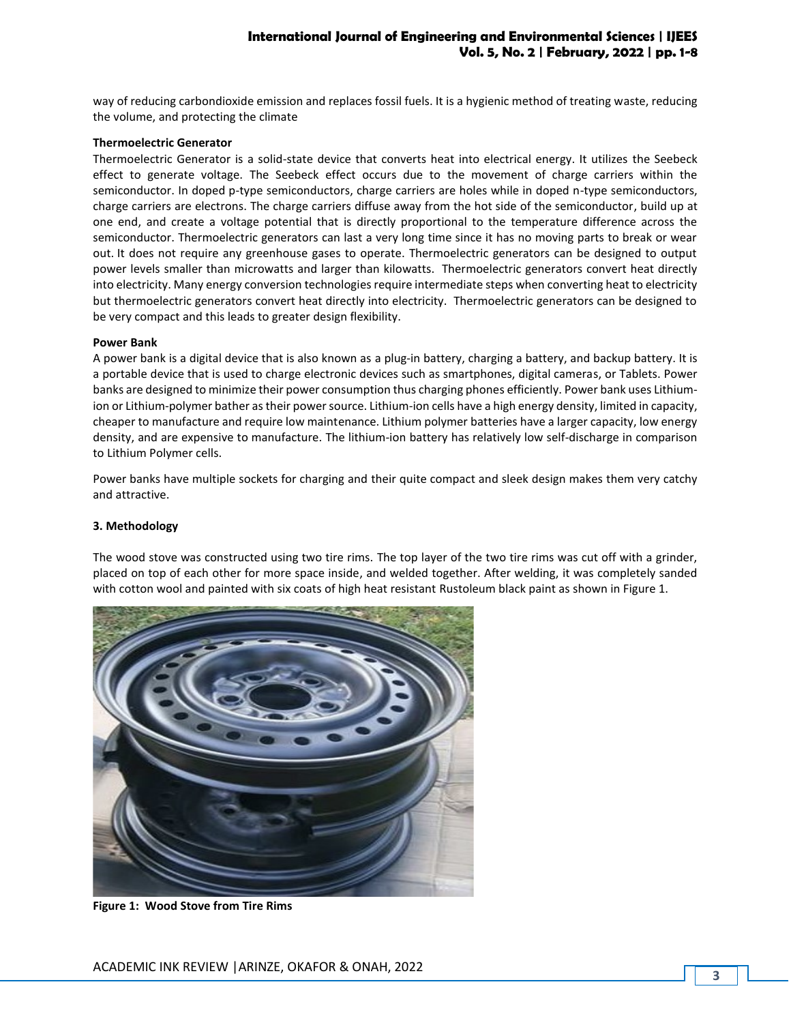way of reducing carbondioxide emission and replaces fossil fuels. It is a hygienic method of treating waste, reducing the volume, and protecting the climate

#### **Thermoelectric Generator**

Thermoelectric Generator is a solid-state device that converts heat into electrical energy. It utilizes the Seebeck effect to generate voltage. The Seebeck effect occurs due to the movement of charge carriers within the semiconductor. In doped p-type semiconductors, charge carriers are holes while in doped n-type semiconductors, charge carriers are electrons. The charge carriers diffuse away from the hot side of the semiconductor, build up at one end, and create a voltage potential that is directly proportional to the temperature difference across the semiconductor. Thermoelectric generators can last a very long time since it has no moving parts to break or wear out. It does not require any greenhouse gases to operate. Thermoelectric generators can be designed to output power levels smaller than microwatts and larger than kilowatts. Thermoelectric generators convert heat directly into electricity. Many energy conversion technologies require intermediate steps when converting heat to electricity but thermoelectric generators convert heat directly into electricity. Thermoelectric generators can be designed to be very compact and this leads to greater design flexibility.

#### **Power Bank**

A power bank is a digital device that is also known as a plug-in battery, charging a battery, and backup battery. It is a portable device that is used to charge electronic devices such as smartphones, digital cameras, or Tablets. Power banks are designed to minimize their power consumption thus charging phones efficiently. Power bank uses Lithiumion or Lithium-polymer bather as their power source. Lithium-ion cells have a high energy density, limited in capacity, cheaper to manufacture and require low maintenance. Lithium polymer batteries have a larger capacity, low energy density, and are expensive to manufacture. The lithium-ion battery has relatively low self-discharge in comparison to Lithium Polymer cells.

Power banks have multiple sockets for charging and their quite compact and sleek design makes them very catchy and attractive.

#### **3. Methodology**

The wood stove was constructed using two tire rims. The top layer of the two tire rims was cut off with a grinder, placed on top of each other for more space inside, and welded together. After welding, it was completely sanded with cotton wool and painted with six coats of high heat resistant Rustoleum black paint as shown in Figure 1.



**Figure 1: Wood Stove from Tire Rims**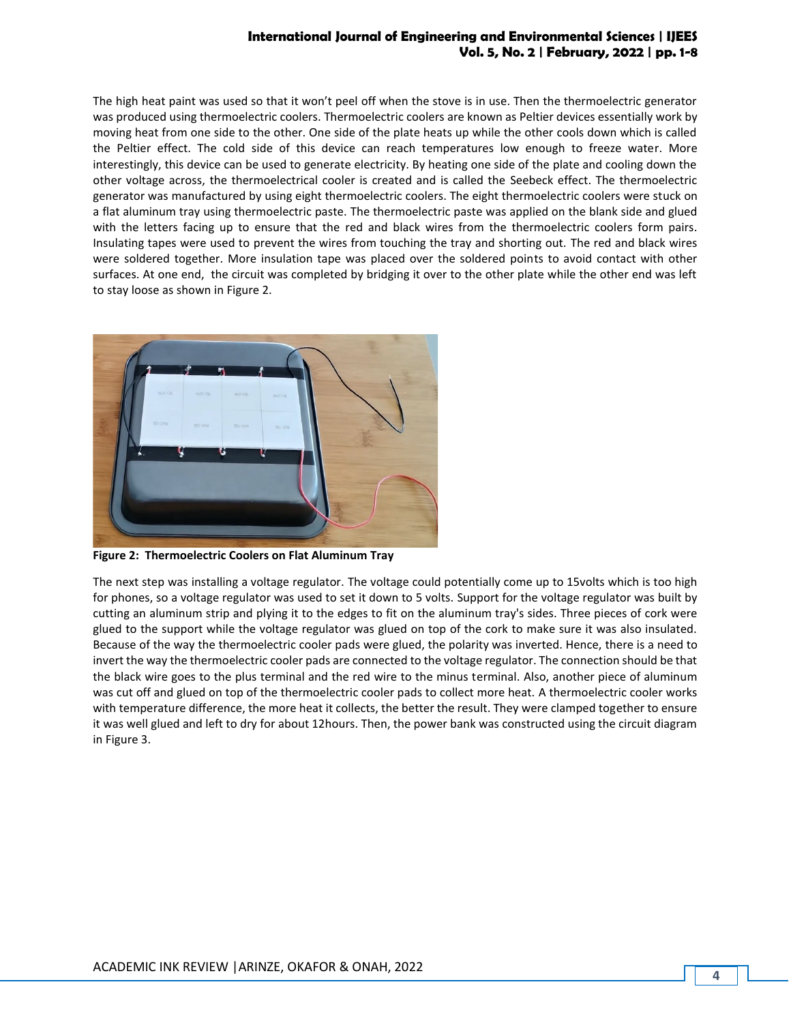The high heat paint was used so that it won't peel off when the stove is in use. Then the thermoelectric generator was produced using thermoelectric coolers. Thermoelectric coolers are known as Peltier devices essentially work by moving heat from one side to the other. One side of the plate heats up while the other cools down which is called the Peltier effect. The cold side of this device can reach temperatures low enough to freeze water. More interestingly, this device can be used to generate electricity. By heating one side of the plate and cooling down the other voltage across, the thermoelectrical cooler is created and is called the Seebeck effect. The thermoelectric generator was manufactured by using eight thermoelectric coolers. The eight thermoelectric coolers were stuck on a flat aluminum tray using thermoelectric paste. The thermoelectric paste was applied on the blank side and glued with the letters facing up to ensure that the red and black wires from the thermoelectric coolers form pairs. Insulating tapes were used to prevent the wires from touching the tray and shorting out. The red and black wires were soldered together. More insulation tape was placed over the soldered points to avoid contact with other surfaces. At one end, the circuit was completed by bridging it over to the other plate while the other end was left to stay loose as shown in Figure 2.



**Figure 2: Thermoelectric Coolers on Flat Aluminum Tray** 

The next step was installing a voltage regulator. The voltage could potentially come up to 15volts which is too high for phones, so a voltage regulator was used to set it down to 5 volts. Support for the voltage regulator was built by cutting an aluminum strip and plying it to the edges to fit on the aluminum tray's sides. Three pieces of cork were glued to the support while the voltage regulator was glued on top of the cork to make sure it was also insulated. Because of the way the thermoelectric cooler pads were glued, the polarity was inverted. Hence, there is a need to invert the way the thermoelectric cooler pads are connected to the voltage regulator. The connection should be that the black wire goes to the plus terminal and the red wire to the minus terminal. Also, another piece of aluminum was cut off and glued on top of the thermoelectric cooler pads to collect more heat. A thermoelectric cooler works with temperature difference, the more heat it collects, the better the result. They were clamped together to ensure it was well glued and left to dry for about 12hours. Then, the power bank was constructed using the circuit diagram in Figure 3.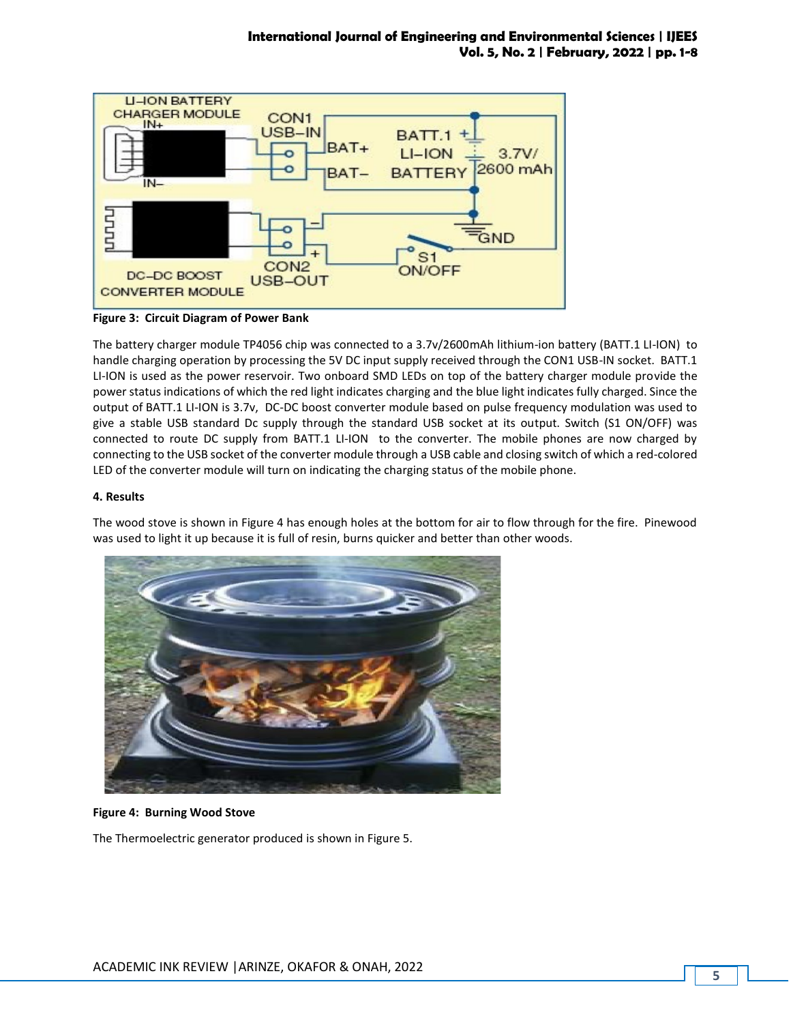

**Figure 3: Circuit Diagram of Power Bank**

The battery charger module TP4056 chip was connected to a 3.7v/2600mAh lithium-ion battery (BATT.1 LI-ION) to handle charging operation by processing the 5V DC input supply received through the CON1 USB-IN socket. BATT.1 LI-ION is used as the power reservoir. Two onboard SMD LEDs on top of the battery charger module provide the power status indications of which the red light indicates charging and the blue light indicates fully charged. Since the output of BATT.1 LI-ION is 3.7v, DC-DC boost converter module based on pulse frequency modulation was used to give a stable USB standard Dc supply through the standard USB socket at its output. Switch (S1 ON/OFF) was connected to route DC supply from BATT.1 LI-ION to the converter. The mobile phones are now charged by connecting to the USB socket of the converter module through a USB cable and closing switch of which a red-colored LED of the converter module will turn on indicating the charging status of the mobile phone.

### **4. Results**

The wood stove is shown in Figure 4 has enough holes at the bottom for air to flow through for the fire. Pinewood was used to light it up because it is full of resin, burns quicker and better than other woods.



**Figure 4: Burning Wood Stove**

The Thermoelectric generator produced is shown in Figure 5.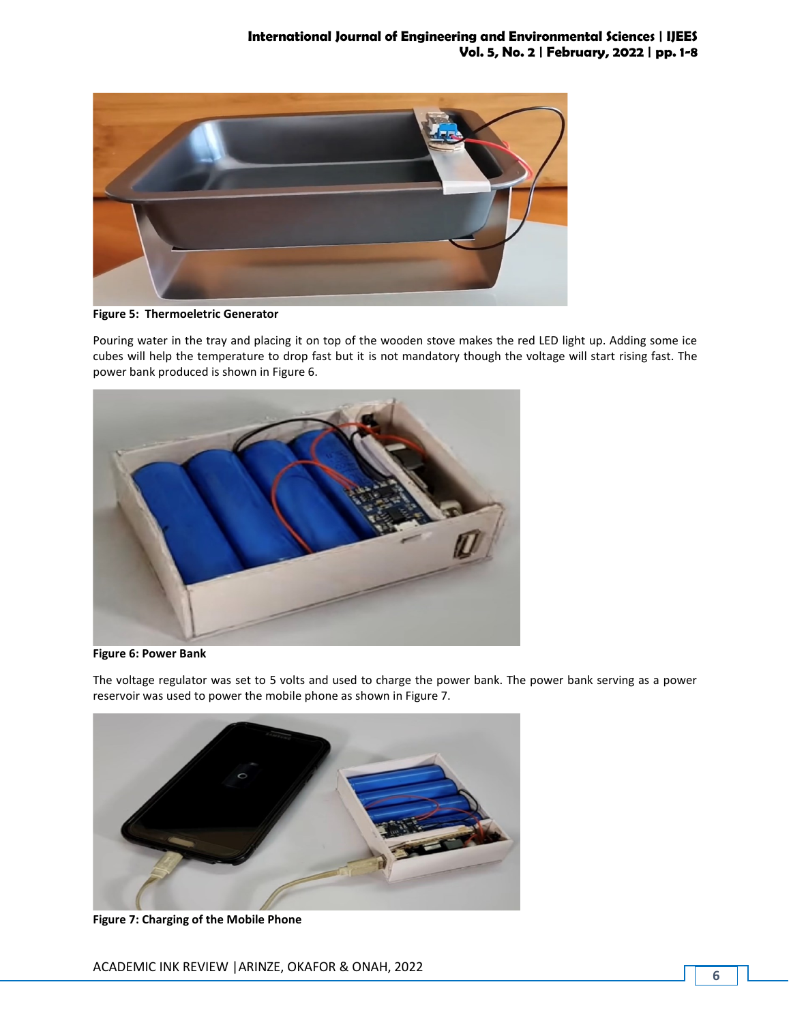

**Figure 5: Thermoeletric Generator**

Pouring water in the tray and placing it on top of the wooden stove makes the red LED light up. Adding some ice cubes will help the temperature to drop fast but it is not mandatory though the voltage will start rising fast. The power bank produced is shown in Figure 6.



**Figure 6: Power Bank**

The voltage regulator was set to 5 volts and used to charge the power bank. The power bank serving as a power reservoir was used to power the mobile phone as shown in Figure 7.



**Figure 7: Charging of the Mobile Phone**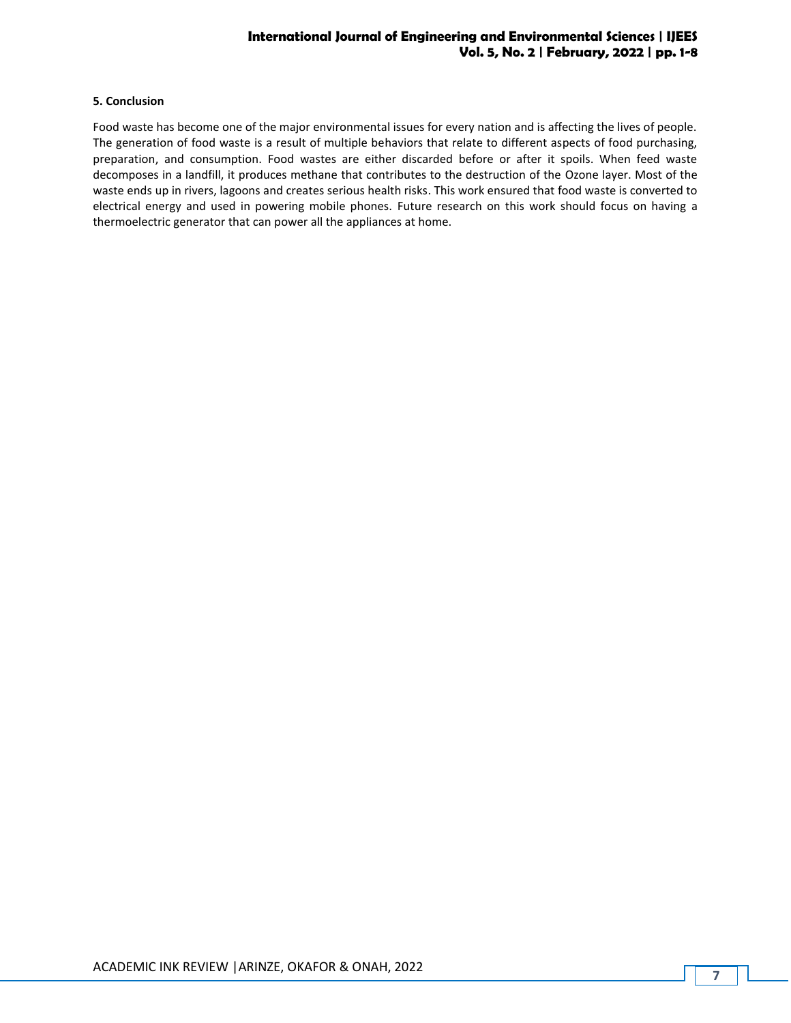#### **5. Conclusion**

Food waste has become one of the major environmental issues for every nation and is affecting the lives of people. The generation of food waste is a result of multiple behaviors that relate to different aspects of food purchasing, preparation, and consumption. Food wastes are either discarded before or after it spoils. When feed waste decomposes in a landfill, it produces methane that contributes to the destruction of the Ozone layer. Most of the waste ends up in rivers, lagoons and creates serious health risks. This work ensured that food waste is converted to electrical energy and used in powering mobile phones. Future research on this work should focus on having a thermoelectric generator that can power all the appliances at home.